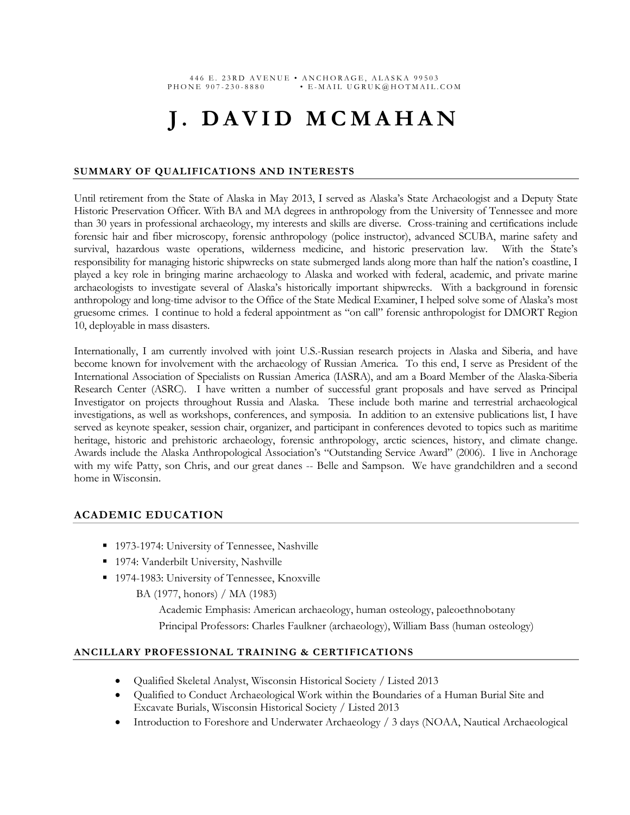# **J. DAVID MCMAHAN**

#### **SUMMARY OF QUALIFICATIONS AND INTERESTS**

Until retirement from the State of Alaska in May 2013, I served as Alaska's State Archaeologist and a Deputy State Historic Preservation Officer. With BA and MA degrees in anthropology from the University of Tennessee and more than 30 years in professional archaeology, my interests and skills are diverse. Cross-training and certifications include forensic hair and fiber microscopy, forensic anthropology (police instructor), advanced SCUBA, marine safety and survival, hazardous waste operations, wilderness medicine, and historic preservation law. With the State's responsibility for managing historic shipwrecks on state submerged lands along more than half the nation's coastline, I played a key role in bringing marine archaeology to Alaska and worked with federal, academic, and private marine archaeologists to investigate several of Alaska's historically important shipwrecks. With a background in forensic anthropology and long-time advisor to the Office of the State Medical Examiner, I helped solve some of Alaska's most gruesome crimes. I continue to hold a federal appointment as "on call" forensic anthropologist for DMORT Region 10, deployable in mass disasters.

Internationally, I am currently involved with joint U.S.-Russian research projects in Alaska and Siberia, and have become known for involvement with the archaeology of Russian America. To this end, I serve as President of the International Association of Specialists on Russian America (IASRA), and am a Board Member of the Alaska-Siberia Research Center (ASRC). I have written a number of successful grant proposals and have served as Principal Investigator on projects throughout Russia and Alaska. These include both marine and terrestrial archaeological investigations, as well as workshops, conferences, and symposia. In addition to an extensive publications list, I have served as keynote speaker, session chair, organizer, and participant in conferences devoted to topics such as maritime heritage, historic and prehistoric archaeology, forensic anthropology, arctic sciences, history, and climate change. Awards include the Alaska Anthropological Association's "Outstanding Service Award" (2006). I live in Anchorage with my wife Patty, son Chris, and our great danes -- Belle and Sampson. We have grandchildren and a second home in Wisconsin.

## **ACADEMIC EDUCATION**

- 1973-1974: University of Tennessee, Nashville
- **1974: Vanderbilt University, Nashville**
- 1974-1983: University of Tennessee, Knoxville

BA (1977, honors) / MA (1983)

Academic Emphasis: American archaeology, human osteology, paleoethnobotany Principal Professors: Charles Faulkner (archaeology), William Bass (human osteology)

#### **ANCILLARY PROFESSIONAL TRAINING & CERTIFICATIONS**

- Qualified Skeletal Analyst, Wisconsin Historical Society / Listed 2013
- Qualified to Conduct Archaeological Work within the Boundaries of a Human Burial Site and Excavate Burials, Wisconsin Historical Society / Listed 2013
- Introduction to Foreshore and Underwater Archaeology / 3 days (NOAA, Nautical Archaeological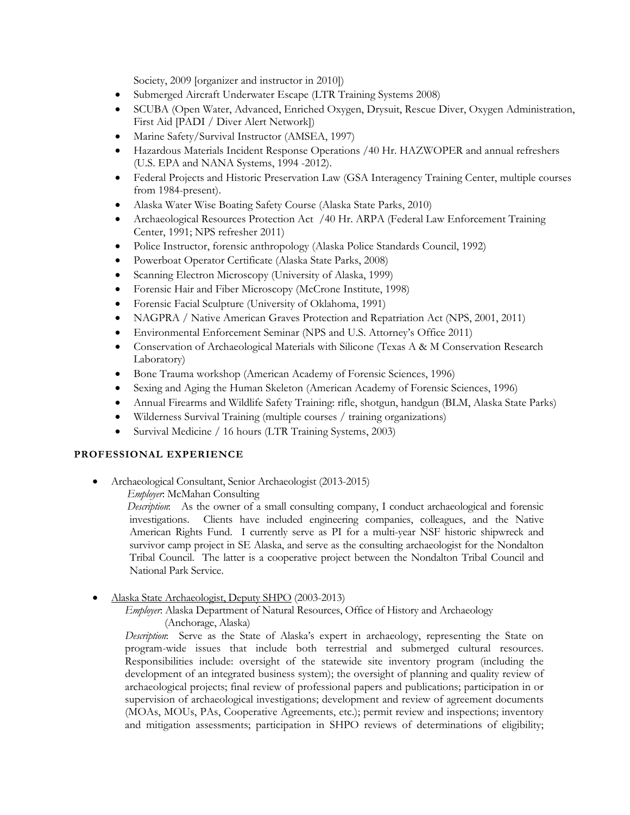Society, 2009 [organizer and instructor in 2010])

- Submerged Aircraft Underwater Escape (LTR Training Systems 2008)
- SCUBA (Open Water, Advanced, Enriched Oxygen, Drysuit, Rescue Diver, Oxygen Administration, First Aid [PADI / Diver Alert Network])
- Marine Safety/Survival Instructor (AMSEA, 1997)
- Hazardous Materials Incident Response Operations /40 Hr. HAZWOPER and annual refreshers (U.S. EPA and NANA Systems, 1994 -2012).
- Federal Projects and Historic Preservation Law (GSA Interagency Training Center, multiple courses from 1984-present).
- Alaska Water Wise Boating Safety Course (Alaska State Parks, 2010)
- Archaeological Resources Protection Act /40 Hr. ARPA (Federal Law Enforcement Training Center, 1991; NPS refresher 2011)
- Police Instructor, forensic anthropology (Alaska Police Standards Council, 1992)
- Powerboat Operator Certificate (Alaska State Parks, 2008)
- Scanning Electron Microscopy (University of Alaska, 1999)
- Forensic Hair and Fiber Microscopy (McCrone Institute, 1998)
- Forensic Facial Sculpture (University of Oklahoma, 1991)
- NAGPRA / Native American Graves Protection and Repatriation Act (NPS, 2001, 2011)
- Environmental Enforcement Seminar (NPS and U.S. Attorney's Office 2011)
- Conservation of Archaeological Materials with Silicone (Texas A & M Conservation Research Laboratory)
- Bone Trauma workshop (American Academy of Forensic Sciences, 1996)
- Sexing and Aging the Human Skeleton (American Academy of Forensic Sciences, 1996)
- Annual Firearms and Wildlife Safety Training: rifle, shotgun, handgun (BLM, Alaska State Parks)
- Wilderness Survival Training (multiple courses / training organizations)
- Survival Medicine / 16 hours (LTR Training Systems, 2003)

## **PROFESSIONAL EXPERIENCE**

Archaeological Consultant, Senior Archaeologist (2013-2015)

*Employer*: McMahan Consulting

 *Description*: As the owner of a small consulting company, I conduct archaeological and forensic investigations. Clients have included engineering companies, colleagues, and the Native American Rights Fund. I currently serve as PI for a multi-year NSF historic shipwreck and survivor camp project in SE Alaska, and serve as the consulting archaeologist for the Nondalton Tribal Council. The latter is a cooperative project between the Nondalton Tribal Council and National Park Service.

Alaska State Archaeologist, Deputy SHPO (2003-2013)

*Employer*: Alaska Department of Natural Resources, Office of History and Archaeology (Anchorage, Alaska)

*Description*: Serve as the State of Alaska's expert in archaeology, representing the State on program-wide issues that include both terrestrial and submerged cultural resources. Responsibilities include: oversight of the statewide site inventory program (including the development of an integrated business system); the oversight of planning and quality review of archaeological projects; final review of professional papers and publications; participation in or supervision of archaeological investigations; development and review of agreement documents (MOAs, MOUs, PAs, Cooperative Agreements, etc.); permit review and inspections; inventory and mitigation assessments; participation in SHPO reviews of determinations of eligibility;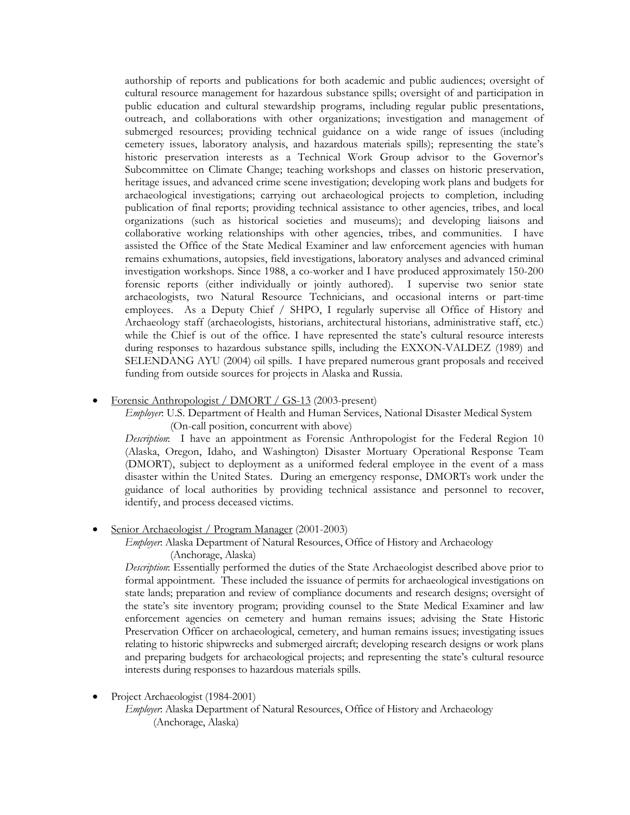authorship of reports and publications for both academic and public audiences; oversight of cultural resource management for hazardous substance spills; oversight of and participation in public education and cultural stewardship programs, including regular public presentations, outreach, and collaborations with other organizations; investigation and management of submerged resources; providing technical guidance on a wide range of issues (including cemetery issues, laboratory analysis, and hazardous materials spills); representing the state's historic preservation interests as a Technical Work Group advisor to the Governor's Subcommittee on Climate Change; teaching workshops and classes on historic preservation, heritage issues, and advanced crime scene investigation; developing work plans and budgets for archaeological investigations; carrying out archaeological projects to completion, including publication of final reports; providing technical assistance to other agencies, tribes, and local organizations (such as historical societies and museums); and developing liaisons and collaborative working relationships with other agencies, tribes, and communities. I have assisted the Office of the State Medical Examiner and law enforcement agencies with human remains exhumations, autopsies, field investigations, laboratory analyses and advanced criminal investigation workshops. Since 1988, a co-worker and I have produced approximately 150-200 forensic reports (either individually or jointly authored). I supervise two senior state archaeologists, two Natural Resource Technicians, and occasional interns or part-time employees. As a Deputy Chief / SHPO, I regularly supervise all Office of History and Archaeology staff (archaeologists, historians, architectural historians, administrative staff, etc.) while the Chief is out of the office. I have represented the state's cultural resource interests during responses to hazardous substance spills, including the EXXON-VALDEZ (1989) and SELENDANG AYU (2004) oil spills. I have prepared numerous grant proposals and received funding from outside sources for projects in Alaska and Russia.

Forensic Anthropologist / DMORT / GS-13 (2003-present)

*Employer*: U.S. Department of Health and Human Services, National Disaster Medical System (On-call position, concurrent with above)

*Description*: I have an appointment as Forensic Anthropologist for the Federal Region 10 (Alaska, Oregon, Idaho, and Washington) Disaster Mortuary Operational Response Team (DMORT), subject to deployment as a uniformed federal employee in the event of a mass disaster within the United States. During an emergency response, DMORTs work under the guidance of local authorities by providing technical assistance and personnel to recover, identify, and process deceased victims.

Senior Archaeologist / Program Manager (2001-2003)

*Employer*: Alaska Department of Natural Resources, Office of History and Archaeology (Anchorage, Alaska)

*Description*: Essentially performed the duties of the State Archaeologist described above prior to formal appointment. These included the issuance of permits for archaeological investigations on state lands; preparation and review of compliance documents and research designs; oversight of the state's site inventory program; providing counsel to the State Medical Examiner and law enforcement agencies on cemetery and human remains issues; advising the State Historic Preservation Officer on archaeological, cemetery, and human remains issues; investigating issues relating to historic shipwrecks and submerged aircraft; developing research designs or work plans and preparing budgets for archaeological projects; and representing the state's cultural resource interests during responses to hazardous materials spills.

- Project Archaeologist (1984-2001)
	- *Employer*: Alaska Department of Natural Resources, Office of History and Archaeology (Anchorage, Alaska)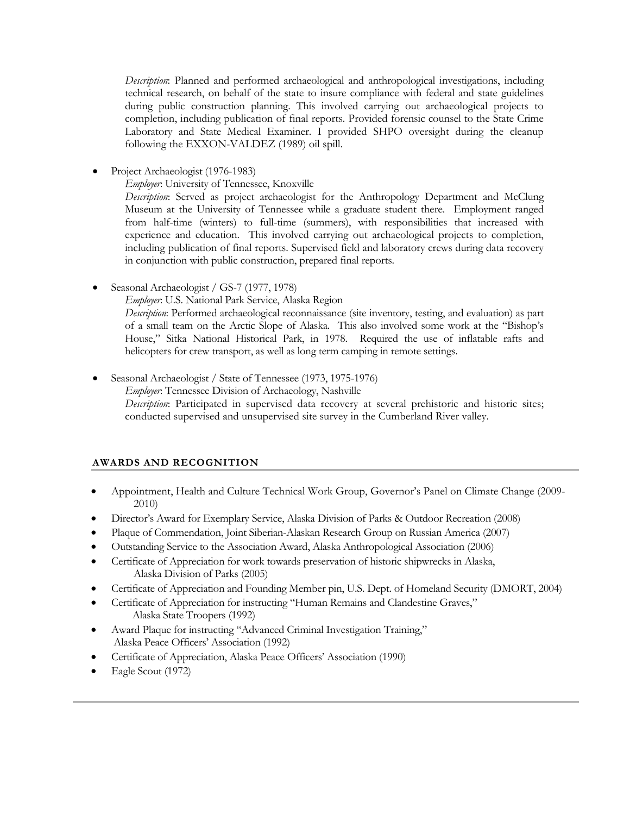*Description*: Planned and performed archaeological and anthropological investigations, including technical research, on behalf of the state to insure compliance with federal and state guidelines during public construction planning. This involved carrying out archaeological projects to completion, including publication of final reports. Provided forensic counsel to the State Crime Laboratory and State Medical Examiner. I provided SHPO oversight during the cleanup following the EXXON-VALDEZ (1989) oil spill.

Project Archaeologist (1976-1983)

*Employer*: University of Tennessee, Knoxville

*Description*: Served as project archaeologist for the Anthropology Department and McClung Museum at the University of Tennessee while a graduate student there. Employment ranged from half-time (winters) to full-time (summers), with responsibilities that increased with experience and education. This involved carrying out archaeological projects to completion, including publication of final reports. Supervised field and laboratory crews during data recovery in conjunction with public construction, prepared final reports.

Seasonal Archaeologist / GS-7 (1977, 1978)

*Employer*: U.S. National Park Service, Alaska Region

*Description*: Performed archaeological reconnaissance (site inventory, testing, and evaluation) as part of a small team on the Arctic Slope of Alaska. This also involved some work at the "Bishop's House," Sitka National Historical Park, in 1978. Required the use of inflatable rafts and helicopters for crew transport, as well as long term camping in remote settings.

 Seasonal Archaeologist / State of Tennessee (1973, 1975-1976) *Employer*: Tennessee Division of Archaeology, Nashville *Description*: Participated in supervised data recovery at several prehistoric and historic sites; conducted supervised and unsupervised site survey in the Cumberland River valley.

## **AWARDS AND RECOGNITION**

- Appointment, Health and Culture Technical Work Group, Governor's Panel on Climate Change (2009- 2010)
- Director's Award for Exemplary Service, Alaska Division of Parks & Outdoor Recreation (2008)
- Plaque of Commendation, Joint Siberian-Alaskan Research Group on Russian America (2007)
- Outstanding Service to the Association Award, Alaska Anthropological Association (2006)
- Certificate of Appreciation for work towards preservation of historic shipwrecks in Alaska, Alaska Division of Parks (2005)
- Certificate of Appreciation and Founding Member pin, U.S. Dept. of Homeland Security (DMORT, 2004)
- Certificate of Appreciation for instructing "Human Remains and Clandestine Graves," Alaska State Troopers (1992)
- Award Plaque for instructing "Advanced Criminal Investigation Training," Alaska Peace Officers' Association (1992)
- Certificate of Appreciation, Alaska Peace Officers' Association (1990)
- Eagle Scout (1972)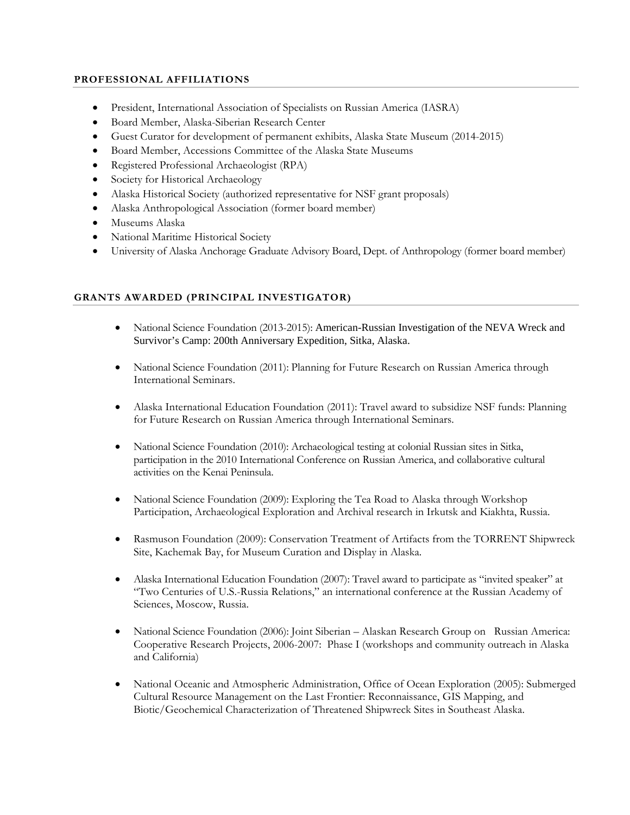## **PROFESSIONAL AFFILIATIONS**

- President, International Association of Specialists on Russian America (IASRA)
- Board Member, Alaska-Siberian Research Center
- Guest Curator for development of permanent exhibits, Alaska State Museum (2014-2015)
- Board Member, Accessions Committee of the Alaska State Museums
- Registered Professional Archaeologist (RPA)
- Society for Historical Archaeology
- Alaska Historical Society (authorized representative for NSF grant proposals)
- Alaska Anthropological Association (former board member)
- Museums Alaska
- National Maritime Historical Society
- University of Alaska Anchorage Graduate Advisory Board, Dept. of Anthropology (former board member)

## **GRANTS AWARDED (PRINCIPAL INVESTIGATOR)**

- National Science Foundation (2013-2015): American-Russian Investigation of the NEVA Wreck and Survivor's Camp: 200th Anniversary Expedition, Sitka, Alaska.
- National Science Foundation (2011): Planning for Future Research on Russian America through International Seminars.
- Alaska International Education Foundation (2011): Travel award to subsidize NSF funds: Planning for Future Research on Russian America through International Seminars.
- National Science Foundation (2010): Archaeological testing at colonial Russian sites in Sitka, participation in the 2010 International Conference on Russian America, and collaborative cultural activities on the Kenai Peninsula.
- National Science Foundation (2009): Exploring the Tea Road to Alaska through Workshop Participation, Archaeological Exploration and Archival research in Irkutsk and Kiakhta, Russia.
- Rasmuson Foundation (2009): Conservation Treatment of Artifacts from the TORRENT Shipwreck Site, Kachemak Bay, for Museum Curation and Display in Alaska.
- Alaska International Education Foundation (2007): Travel award to participate as "invited speaker" at "Two Centuries of U.S.-Russia Relations," an international conference at the Russian Academy of Sciences, Moscow, Russia.
- National Science Foundation (2006): Joint Siberian Alaskan Research Group on Russian America: Cooperative Research Projects, 2006-2007: Phase I (workshops and community outreach in Alaska and California)
- National Oceanic and Atmospheric Administration, Office of Ocean Exploration (2005): Submerged Cultural Resource Management on the Last Frontier: Reconnaissance, GIS Mapping, and Biotic/Geochemical Characterization of Threatened Shipwreck Sites in Southeast Alaska.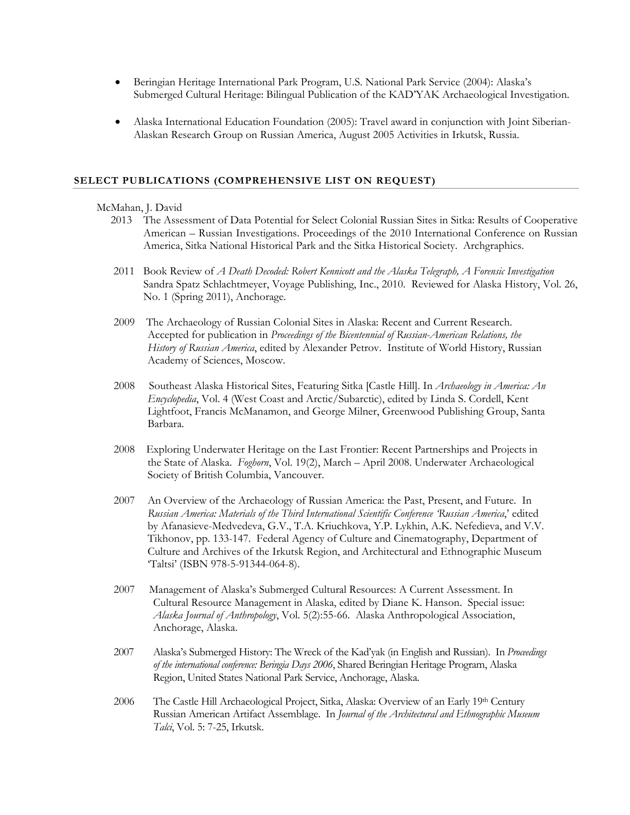- Beringian Heritage International Park Program, U.S. National Park Service (2004): Alaska's Submerged Cultural Heritage: Bilingual Publication of the KAD'YAK Archaeological Investigation.
- Alaska International Education Foundation (2005): Travel award in conjunction with Joint Siberian-Alaskan Research Group on Russian America, August 2005 Activities in Irkutsk, Russia.

#### **SELECT PUBLICATIONS (COMPREHENSIVE LIST ON REQUEST)**

#### McMahan, J. David

- 2013 The Assessment of Data Potential for Select Colonial Russian Sites in Sitka: Results of Cooperative American – Russian Investigations. Proceedings of the 2010 International Conference on Russian America, Sitka National Historical Park and the Sitka Historical Society. Archgraphics.
- 2011 Book Review of *A Death Decoded: Robert Kennicott and the Alaska Telegraph, A Forensic Investigation* Sandra Spatz Schlachtmeyer, Voyage Publishing, Inc., 2010. Reviewed for Alaska History, Vol. 26, No. 1 (Spring 2011), Anchorage.
- 2009 The Archaeology of Russian Colonial Sites in Alaska: Recent and Current Research. Accepted for publication in *Proceedings of the Bicentennial of Russian-American Relations, the History of Russian America*, edited by Alexander Petrov. Institute of World History, Russian Academy of Sciences, Moscow.
- 2008 Southeast Alaska Historical Sites, Featuring Sitka [Castle Hill]. In *Archaeology in America: An Encyclopedia*, Vol. 4 (West Coast and Arctic/Subarctic), edited by Linda S. Cordell, Kent Lightfoot, Francis McManamon, and George Milner, Greenwood Publishing Group, Santa Barbara.
- 2008 Exploring Underwater Heritage on the Last Frontier: Recent Partnerships and Projects in the State of Alaska. *Foghorn*, Vol. 19(2), March – April 2008. Underwater Archaeological Society of British Columbia, Vancouver.
- 2007 An Overview of the Archaeology of Russian America: the Past, Present, and Future. In *Russian America: Materials of the Third International Scientific Conference 'Russian America*,' edited by Afanasieve-Medvedeva, G.V., T.A. Kriuchkova, Y.P. Lykhin, A.K. Nefedieva, and V.V. Tikhonov, pp. 133-147. Federal Agency of Culture and Cinematography, Department of Culture and Archives of the Irkutsk Region, and Architectural and Ethnographic Museum 'Taltsi' (ISBN 978-5-91344-064-8).
- 2007Management of Alaska's Submerged Cultural Resources: A Current Assessment. In Cultural Resource Management in Alaska, edited by Diane K. Hanson. Special issue: *Alaska Journal of Anthropology*, Vol. 5(2):55-66. Alaska Anthropological Association, Anchorage, Alaska.
- 2007 Alaska's Submerged History: The Wreck of the Kad'yak (in English and Russian). In *Proceedings of the international conference: Beringia Days 2006*, Shared Beringian Heritage Program, Alaska Region, United States National Park Service, Anchorage, Alaska.
- 2006 The Castle Hill Archaeological Project, Sitka, Alaska: Overview of an Early 19th Century Russian American Artifact Assemblage. In *Journal of the Architectural and Ethnographic Museum Talci*, Vol. 5: 7-25, Irkutsk.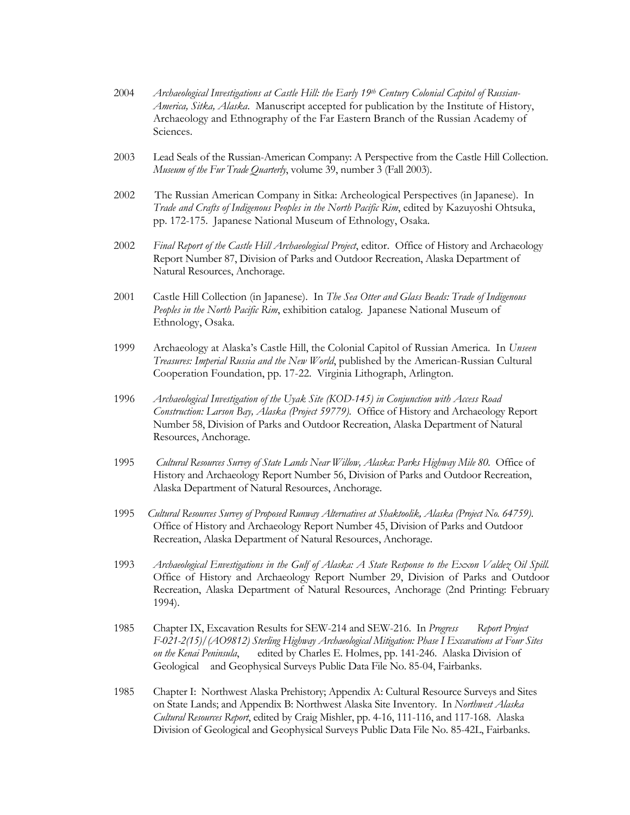- 2004 *Archaeological Investigations at Castle Hill: the Early 19th Century Colonial Capitol of Russian-America, Sitka, Alaska*. Manuscript accepted for publication by the Institute of History, Archaeology and Ethnography of the Far Eastern Branch of the Russian Academy of Sciences.
- 2003 Lead Seals of the Russian-American Company: A Perspective from the Castle Hill Collection. *Museum of the Fur Trade Quarterly*, volume 39, number 3 (Fall 2003).
- 2002 The Russian American Company in Sitka: Archeological Perspectives (in Japanese). In *Trade and Crafts of Indigenous Peoples in the North Pacific Rim*, edited by Kazuyoshi Ohtsuka, pp. 172-175. Japanese National Museum of Ethnology, Osaka.
- 2002 *Final Report of the Castle Hill Archaeological Project*, editor. Office of History and Archaeology Report Number 87, Division of Parks and Outdoor Recreation, Alaska Department of Natural Resources, Anchorage.
- 2001 Castle Hill Collection (in Japanese). In *The Sea Otter and Glass Beads: Trade of Indigenous Peoples in the North Pacific Rim*, exhibition catalog. Japanese National Museum of Ethnology, Osaka.
- 1999 Archaeology at Alaska's Castle Hill, the Colonial Capitol of Russian America. In *Unseen Treasures: Imperial Russia and the New World*, published by the American-Russian Cultural Cooperation Foundation, pp. 17-22. Virginia Lithograph, Arlington.
- 1996 *Archaeological Investigation of the Uyak Site (KOD-145) in Conjunction with Access Road Construction: Larson Bay, Alaska (Project 59779).* Office of History and Archaeology Report Number 58, Division of Parks and Outdoor Recreation, Alaska Department of Natural Resources, Anchorage.
- 1995 *Cultural Resources Survey of State Lands Near Willow, Alaska: Parks Highway Mile 80.* Office of History and Archaeology Report Number 56, Division of Parks and Outdoor Recreation, Alaska Department of Natural Resources, Anchorage.
- 1995 *Cultural Resources Survey of Proposed Runway Alternatives at Shaktoolik, Alaska (Project No. 64759)*. Office of History and Archaeology Report Number 45, Division of Parks and Outdoor Recreation, Alaska Department of Natural Resources, Anchorage.
- 1993 *Archaeological Envestigations in the Gulf of Alaska: A State Response to the Exxon Valdez Oil Spill.*  Office of History and Archaeology Report Number 29, Division of Parks and Outdoor Recreation, Alaska Department of Natural Resources, Anchorage (2nd Printing: February 1994).
- 1985 Chapter IX, Excavation Results for SEW-214 and SEW-216. In *Progress Report Project F-021-2(15)/(AO9812) Sterling Highway Archaeological Mitigation: Phase I Excavations at Four Sites on the Kenai Peninsula*, edited by Charles E. Holmes, pp. 141-246. Alaska Division of Geological and Geophysical Surveys Public Data File No. 85-04, Fairbanks.
- 1985 Chapter I: Northwest Alaska Prehistory; Appendix A: Cultural Resource Surveys and Sites on State Lands; and Appendix B: Northwest Alaska Site Inventory. In *Northwest Alaska Cultural Resources Report*, edited by Craig Mishler, pp. 4-16, 111-116, and 117-168. Alaska Division of Geological and Geophysical Surveys Public Data File No. 85-42L, Fairbanks.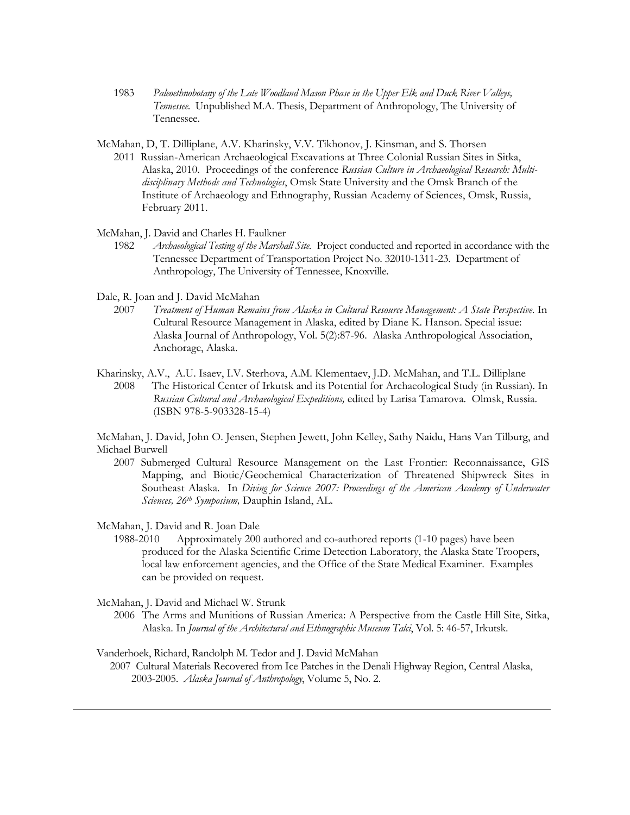- 1983 *Paleoethnobotany of the Late Woodland Mason Phase in the Upper Elk and Duck River Valleys, Tennessee*. Unpublished M.A. Thesis, Department of Anthropology, The University of Tennessee.
- McMahan, D, T. Dilliplane, A.V. Kharinsky, V.V. Tikhonov, J. Kinsman, and S. Thorsen
	- 2011 Russian-American Archaeological Excavations at Three Colonial Russian Sites in Sitka, Alaska, 2010. Proceedings of the conference *Russian Culture in Archaeological Research: Multidisciplinary Methods and Technologies*, Omsk State University and the Omsk Branch of the Institute of Archaeology and Ethnography, Russian Academy of Sciences, Omsk, Russia, February 2011.
- McMahan, J. David and Charles H. Faulkner
	- 1982 *Archaeological Testing of the Marshall Site*. Project conducted and reported in accordance with the Tennessee Department of Transportation Project No. 32010-1311-23. Department of Anthropology, The University of Tennessee, Knoxville.
- Dale, R. Joan and J. David McMahan
	- 2007 *Treatment of Human Remains from Alaska in Cultural Resource Management: A State Perspective*. In Cultural Resource Management in Alaska, edited by Diane K. Hanson. Special issue: Alaska Journal of Anthropology, Vol. 5(2):87-96. Alaska Anthropological Association, Anchorage, Alaska.
- Kharinsky, A.V., A.U. Isaev, I.V. Sterhova, A.M. Klementaev, J.D. McMahan, and T.L. Dilliplane 2008 The Historical Center of Irkutsk and its Potential for Archaeological Study (in Russian). In *Russian Cultural and Archaeological Expeditions,* edited by Larisa Tamarova. Olmsk, Russia. (ISBN 978-5-903328-15-4)

McMahan, J. David, John O. Jensen, Stephen Jewett, John Kelley, Sathy Naidu, Hans Van Tilburg, and Michael Burwell

- 2007 Submerged Cultural Resource Management on the Last Frontier: Reconnaissance, GIS Mapping, and Biotic/Geochemical Characterization of Threatened Shipwreck Sites in Southeast Alaska. In *Diving for Science 2007: Proceedings of the American Academy of Underwater Sciences, 26th Symposium,* Dauphin Island, AL.
- McMahan, J. David and R. Joan Dale
	- 1988-2010 Approximately 200 authored and co-authored reports (1-10 pages) have been produced for the Alaska Scientific Crime Detection Laboratory, the Alaska State Troopers, local law enforcement agencies, and the Office of the State Medical Examiner. Examples can be provided on request.
- McMahan, J. David and Michael W. Strunk
	- 2006 The Arms and Munitions of Russian America: A Perspective from the Castle Hill Site, Sitka, Alaska. In *Journal of the Architectural and Ethnographic Museum Talci*, Vol. 5: 46-57, Irkutsk.
- Vanderhoek, Richard, Randolph M. Tedor and J. David McMahan
- 2007 Cultural Materials Recovered from Ice Patches in the Denali Highway Region, Central Alaska, 2003-2005. *Alaska Journal of Anthropology*, Volume 5, No. 2.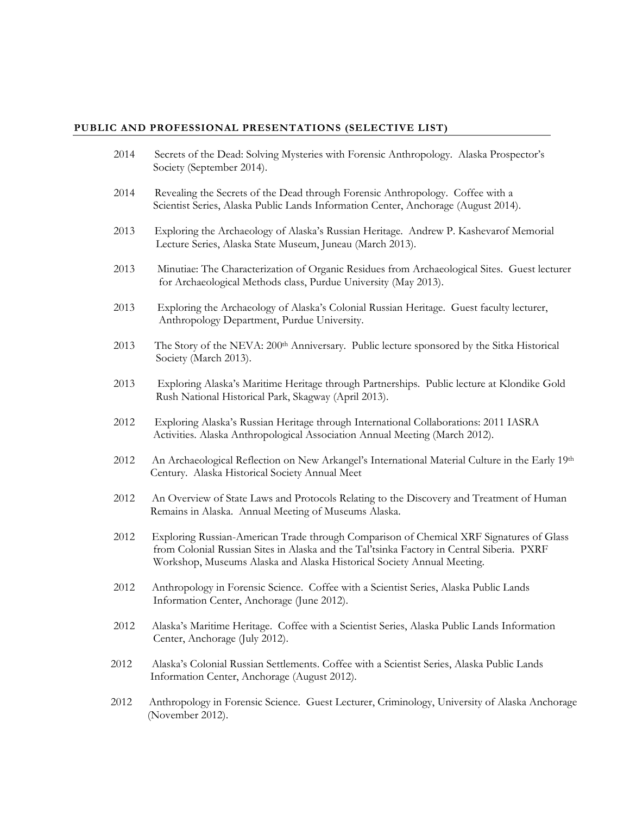#### **PUBLIC AND PROFESSIONAL PRESENTATIONS (SELECTIVE LIST)**

- 2014 Secrets of the Dead: Solving Mysteries with Forensic Anthropology. Alaska Prospector's Society (September 2014).
- 2014 Revealing the Secrets of the Dead through Forensic Anthropology. Coffee with a Scientist Series, Alaska Public Lands Information Center, Anchorage (August 2014).
- 2013 Exploring the Archaeology of Alaska's Russian Heritage. Andrew P. Kashevarof Memorial Lecture Series, Alaska State Museum, Juneau (March 2013).
- 2013 Minutiae: The Characterization of Organic Residues from Archaeological Sites. Guest lecturer for Archaeological Methods class, Purdue University (May 2013).
- 2013 Exploring the Archaeology of Alaska's Colonial Russian Heritage. Guest faculty lecturer, Anthropology Department, Purdue University.
- 2013 The Story of the NEVA: 200<sup>th</sup> Anniversary. Public lecture sponsored by the Sitka Historical Society (March 2013).
- 2013 Exploring Alaska's Maritime Heritage through Partnerships. Public lecture at Klondike Gold Rush National Historical Park, Skagway (April 2013).
- 2012 Exploring Alaska's Russian Heritage through International Collaborations: 2011 IASRA Activities. Alaska Anthropological Association Annual Meeting (March 2012).
- 2012 An Archaeological Reflection on New Arkangel's International Material Culture in the Early 19th Century. Alaska Historical Society Annual Meet
- 2012 An Overview of State Laws and Protocols Relating to the Discovery and Treatment of Human Remains in Alaska. Annual Meeting of Museums Alaska.
- 2012 Exploring Russian-American Trade through Comparison of Chemical XRF Signatures of Glass from Colonial Russian Sites in Alaska and the Tal'tsinka Factory in Central Siberia. PXRF Workshop, Museums Alaska and Alaska Historical Society Annual Meeting.
- 2012 Anthropology in Forensic Science. Coffee with a Scientist Series, Alaska Public Lands Information Center, Anchorage (June 2012).
- 2012 Alaska's Maritime Heritage. Coffee with a Scientist Series, Alaska Public Lands Information Center, Anchorage (July 2012).
- 2012 Alaska's Colonial Russian Settlements. Coffee with a Scientist Series, Alaska Public Lands Information Center, Anchorage (August 2012).
- 2012 Anthropology in Forensic Science. Guest Lecturer, Criminology, University of Alaska Anchorage (November 2012).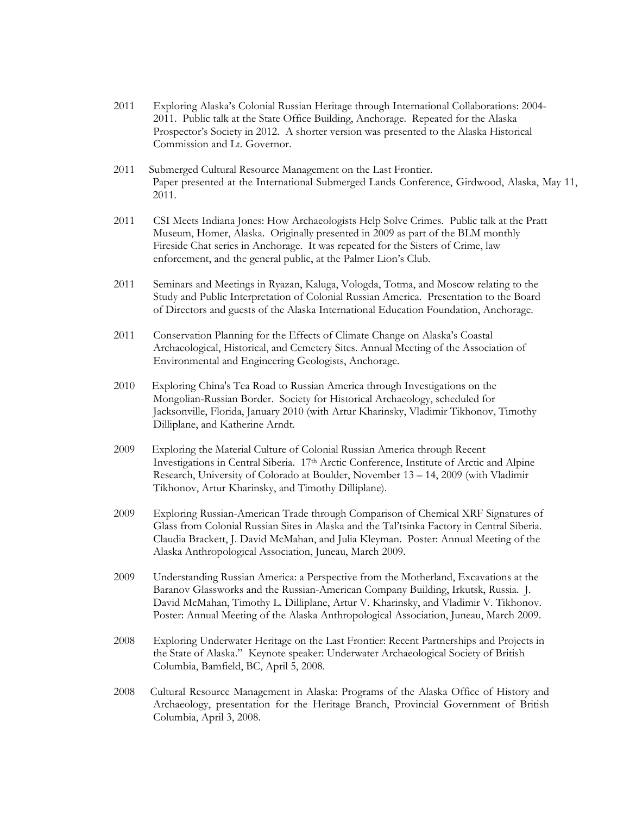- 2011 Exploring Alaska's Colonial Russian Heritage through International Collaborations: 2004- 2011. Public talk at the State Office Building, Anchorage. Repeated for the Alaska Prospector's Society in 2012. A shorter version was presented to the Alaska Historical Commission and Lt. Governor.
- 2011 Submerged Cultural Resource Management on the Last Frontier. Paper presented at the International Submerged Lands Conference, Girdwood, Alaska, May 11, 2011.
- 2011 CSI Meets Indiana Jones: How Archaeologists Help Solve Crimes. Public talk at the Pratt Museum, Homer, Alaska. Originally presented in 2009 as part of the BLM monthly Fireside Chat series in Anchorage. It was repeated for the Sisters of Crime, law enforcement, and the general public, at the Palmer Lion's Club.
- 2011 Seminars and Meetings in Ryazan, Kaluga, Vologda, Totma, and Moscow relating to the Study and Public Interpretation of Colonial Russian America. Presentation to the Board of Directors and guests of the Alaska International Education Foundation, Anchorage.
- 2011 Conservation Planning for the Effects of Climate Change on Alaska's Coastal Archaeological, Historical, and Cemetery Sites. Annual Meeting of the Association of Environmental and Engineering Geologists, Anchorage.
- 2010 Exploring China's Tea Road to Russian America through Investigations on the Mongolian-Russian Border. Society for Historical Archaeology, scheduled for Jacksonville, Florida, January 2010 (with Artur Kharinsky, Vladimir Tikhonov, Timothy Dilliplane, and Katherine Arndt.
- 2009 Exploring the Material Culture of Colonial Russian America through Recent Investigations in Central Siberia. 17th Arctic Conference, Institute of Arctic and Alpine Research, University of Colorado at Boulder, November 13 – 14, 2009 (with Vladimir Tikhonov, Artur Kharinsky, and Timothy Dilliplane).
- 2009 Exploring Russian-American Trade through Comparison of Chemical XRF Signatures of Glass from Colonial Russian Sites in Alaska and the Tal'tsinka Factory in Central Siberia. Claudia Brackett, J. David McMahan, and Julia Kleyman. Poster: Annual Meeting of the Alaska Anthropological Association, Juneau, March 2009.
- 2009 Understanding Russian America: a Perspective from the Motherland, Excavations at the Baranov Glassworks and the Russian-American Company Building, Irkutsk, Russia. J. David McMahan, Timothy L. Dilliplane, Artur V. Kharinsky, and Vladimir V. Tikhonov. Poster: Annual Meeting of the Alaska Anthropological Association, Juneau, March 2009.
- 2008 Exploring Underwater Heritage on the Last Frontier: Recent Partnerships and Projects in the State of Alaska." Keynote speaker: Underwater Archaeological Society of British Columbia, Bamfield, BC, April 5, 2008.
- 2008 Cultural Resource Management in Alaska: Programs of the Alaska Office of History and Archaeology, presentation for the Heritage Branch, Provincial Government of British Columbia, April 3, 2008.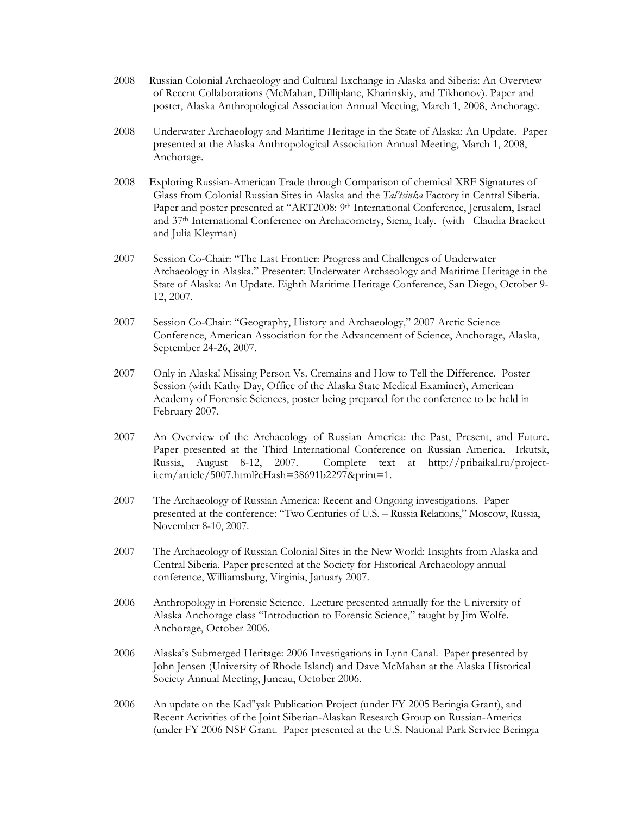- 2008 Russian Colonial Archaeology and Cultural Exchange in Alaska and Siberia: An Overview of Recent Collaborations (McMahan, Dilliplane, Kharinskiy, and Tikhonov). Paper and poster, Alaska Anthropological Association Annual Meeting, March 1, 2008, Anchorage.
- 2008 Underwater Archaeology and Maritime Heritage in the State of Alaska: An Update. Paper presented at the Alaska Anthropological Association Annual Meeting, March 1, 2008, Anchorage.
- 2008 Exploring Russian-American Trade through Comparison of chemical XRF Signatures of Glass from Colonial Russian Sites in Alaska and the *Tal'tsinka* Factory in Central Siberia. Paper and poster presented at "ART2008: 9th International Conference, Jerusalem, Israel and 37th International Conference on Archaeometry, Siena, Italy. (with Claudia Brackett and Julia Kleyman)
- 2007 Session Co-Chair: "The Last Frontier: Progress and Challenges of Underwater Archaeology in Alaska." Presenter: Underwater Archaeology and Maritime Heritage in the State of Alaska: An Update. Eighth Maritime Heritage Conference, San Diego, October 9- 12, 2007.
- 2007 Session Co-Chair: "Geography, History and Archaeology," 2007 Arctic Science Conference, American Association for the Advancement of Science, Anchorage, Alaska, September 24-26, 2007.
- 2007 Only in Alaska! Missing Person Vs. Cremains and How to Tell the Difference. Poster Session (with Kathy Day, Office of the Alaska State Medical Examiner), American Academy of Forensic Sciences, poster being prepared for the conference to be held in February 2007.
- 2007 An Overview of the Archaeology of Russian America: the Past, Present, and Future. Paper presented at the Third International Conference on Russian America. Irkutsk, Russia, August 8-12, 2007. Complete text at http://pribaikal.ru/projectitem/article/5007.html?cHash=38691b2297&print=1.
- 2007 The Archaeology of Russian America: Recent and Ongoing investigations. Paper presented at the conference: "Two Centuries of U.S. – Russia Relations," Moscow, Russia, November 8-10, 2007.
- 2007 The Archaeology of Russian Colonial Sites in the New World: Insights from Alaska and Central Siberia. Paper presented at the Society for Historical Archaeology annual conference, Williamsburg, Virginia, January 2007.
- 2006 Anthropology in Forensic Science. Lecture presented annually for the University of Alaska Anchorage class "Introduction to Forensic Science," taught by Jim Wolfe. Anchorage, October 2006.
- 2006 Alaska's Submerged Heritage: 2006 Investigations in Lynn Canal. Paper presented by John Jensen (University of Rhode Island) and Dave McMahan at the Alaska Historical Society Annual Meeting, Juneau, October 2006.
- 2006 An update on the Kad"yak Publication Project (under FY 2005 Beringia Grant), and Recent Activities of the Joint Siberian-Alaskan Research Group on Russian-America (under FY 2006 NSF Grant. Paper presented at the U.S. National Park Service Beringia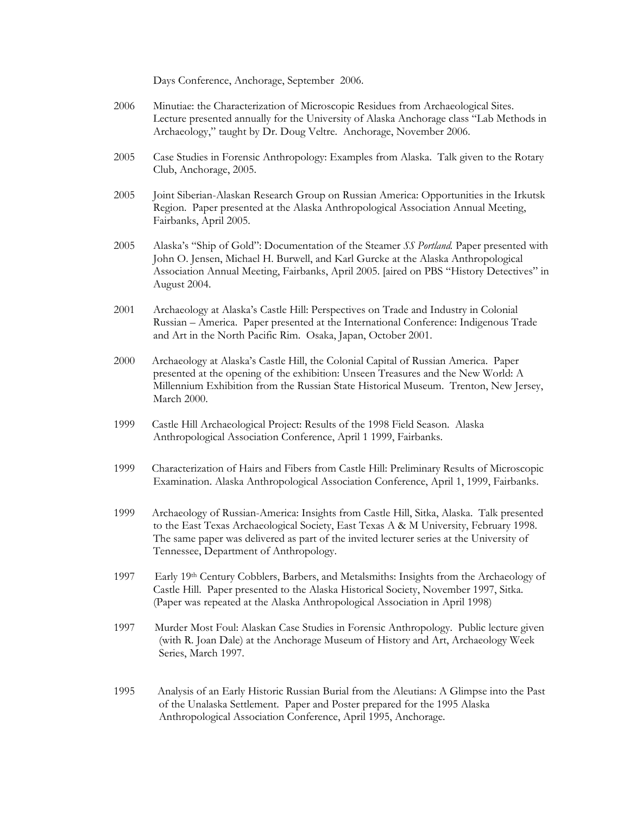Days Conference, Anchorage, September 2006.

- 2006 Minutiae: the Characterization of Microscopic Residues from Archaeological Sites. Lecture presented annually for the University of Alaska Anchorage class "Lab Methods in Archaeology," taught by Dr. Doug Veltre. Anchorage, November 2006.
- 2005 Case Studies in Forensic Anthropology: Examples from Alaska. Talk given to the Rotary Club, Anchorage, 2005.
- 2005 Joint Siberian-Alaskan Research Group on Russian America: Opportunities in the Irkutsk Region. Paper presented at the Alaska Anthropological Association Annual Meeting, Fairbanks, April 2005.
- 2005 Alaska's "Ship of Gold": Documentation of the Steamer *SS Portland.* Paper presented with John O. Jensen, Michael H. Burwell, and Karl Gurcke at the Alaska Anthropological Association Annual Meeting, Fairbanks, April 2005. [aired on PBS "History Detectives" in August 2004.
- 2001 Archaeology at Alaska's Castle Hill: Perspectives on Trade and Industry in Colonial Russian – America. Paper presented at the International Conference: Indigenous Trade and Art in the North Pacific Rim. Osaka, Japan, October 2001.
- 2000 Archaeology at Alaska's Castle Hill, the Colonial Capital of Russian America. Paper presented at the opening of the exhibition: Unseen Treasures and the New World: A Millennium Exhibition from the Russian State Historical Museum. Trenton, New Jersey, March 2000.
- 1999 Castle Hill Archaeological Project: Results of the 1998 Field Season. Alaska Anthropological Association Conference, April 1 1999, Fairbanks.
- 1999 Characterization of Hairs and Fibers from Castle Hill: Preliminary Results of Microscopic Examination. Alaska Anthropological Association Conference, April 1, 1999, Fairbanks.
- 1999 Archaeology of Russian-America: Insights from Castle Hill, Sitka, Alaska. Talk presented to the East Texas Archaeological Society, East Texas A & M University, February 1998. The same paper was delivered as part of the invited lecturer series at the University of Tennessee, Department of Anthropology.
- 1997 Early 19th Century Cobblers, Barbers, and Metalsmiths: Insights from the Archaeology of Castle Hill. Paper presented to the Alaska Historical Society, November 1997, Sitka. (Paper was repeated at the Alaska Anthropological Association in April 1998)
- 1997 Murder Most Foul: Alaskan Case Studies in Forensic Anthropology. Public lecture given (with R. Joan Dale) at the Anchorage Museum of History and Art, Archaeology Week Series, March 1997.
- 1995 Analysis of an Early Historic Russian Burial from the Aleutians: A Glimpse into the Past of the Unalaska Settlement. Paper and Poster prepared for the 1995 Alaska Anthropological Association Conference, April 1995, Anchorage.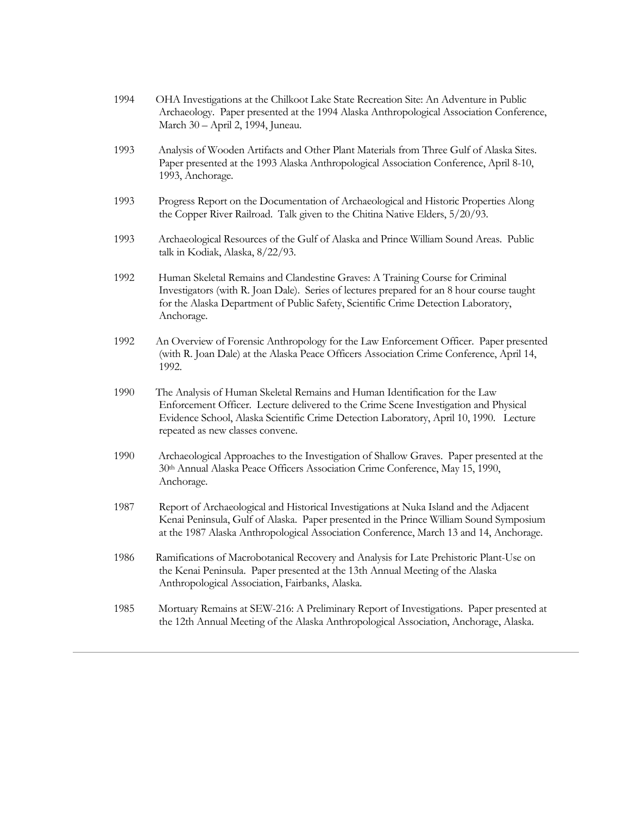| 1994 | OHA Investigations at the Chilkoot Lake State Recreation Site: An Adventure in Public<br>Archaeology. Paper presented at the 1994 Alaska Anthropological Association Conference,<br>March 30 - April 2, 1994, Juneau.                                                                             |
|------|---------------------------------------------------------------------------------------------------------------------------------------------------------------------------------------------------------------------------------------------------------------------------------------------------|
| 1993 | Analysis of Wooden Artifacts and Other Plant Materials from Three Gulf of Alaska Sites.<br>Paper presented at the 1993 Alaska Anthropological Association Conference, April 8-10,<br>1993, Anchorage.                                                                                             |
| 1993 | Progress Report on the Documentation of Archaeological and Historic Properties Along<br>the Copper River Railroad. Talk given to the Chitina Native Elders, 5/20/93.                                                                                                                              |
| 1993 | Archaeological Resources of the Gulf of Alaska and Prince William Sound Areas. Public<br>talk in Kodiak, Alaska, 8/22/93.                                                                                                                                                                         |
| 1992 | Human Skeletal Remains and Clandestine Graves: A Training Course for Criminal<br>Investigators (with R. Joan Dale). Series of lectures prepared for an 8 hour course taught<br>for the Alaska Department of Public Safety, Scientific Crime Detection Laboratory,<br>Anchorage.                   |
| 1992 | An Overview of Forensic Anthropology for the Law Enforcement Officer. Paper presented<br>(with R. Joan Dale) at the Alaska Peace Officers Association Crime Conference, April 14,<br>1992.                                                                                                        |
| 1990 | The Analysis of Human Skeletal Remains and Human Identification for the Law<br>Enforcement Officer. Lecture delivered to the Crime Scene Investigation and Physical<br>Evidence School, Alaska Scientific Crime Detection Laboratory, April 10, 1990. Lecture<br>repeated as new classes convene. |
| 1990 | Archaeological Approaches to the Investigation of Shallow Graves. Paper presented at the<br>30th Annual Alaska Peace Officers Association Crime Conference, May 15, 1990,<br>Anchorage.                                                                                                           |
| 1987 | Report of Archaeological and Historical Investigations at Nuka Island and the Adjacent<br>Kenai Peninsula, Gulf of Alaska. Paper presented in the Prince William Sound Symposium<br>at the 1987 Alaska Anthropological Association Conference, March 13 and 14, Anchorage.                        |
| 1986 | Ramifications of Macrobotanical Recovery and Analysis for Late Prehistoric Plant-Use on<br>the Kenai Peninsula. Paper presented at the 13th Annual Meeting of the Alaska<br>Anthropological Association, Fairbanks, Alaska.                                                                       |
| 1985 | Mortuary Remains at SEW-216: A Preliminary Report of Investigations. Paper presented at<br>the 12th Annual Meeting of the Alaska Anthropological Association, Anchorage, Alaska.                                                                                                                  |